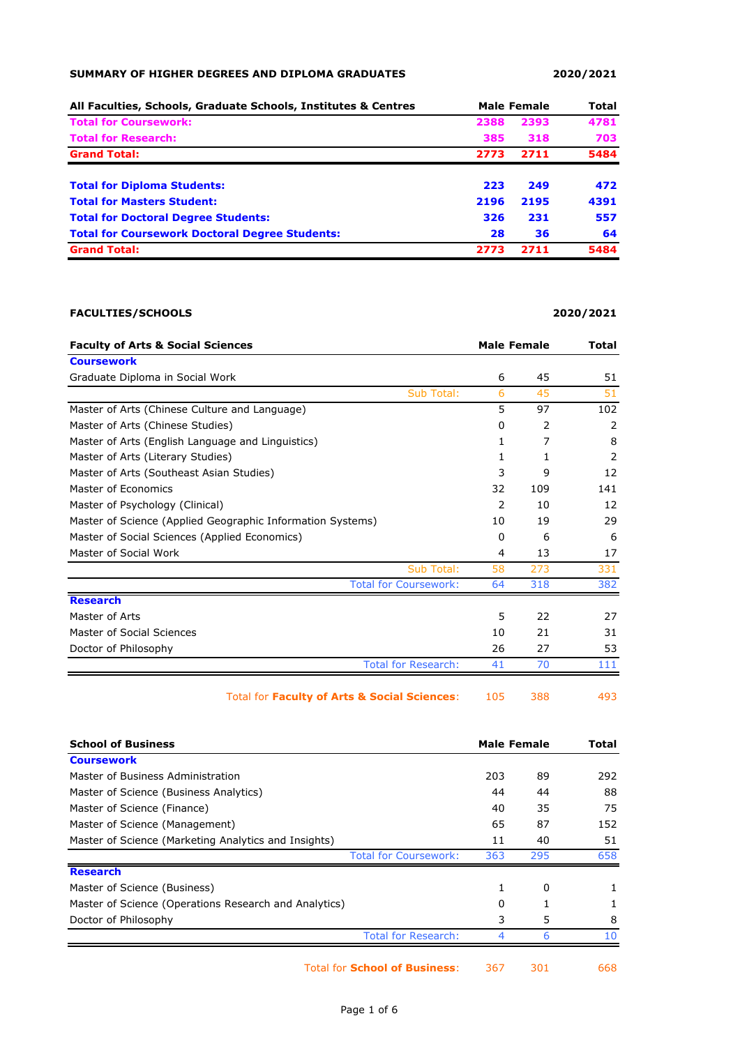## **SUMMARY OF HIGHER DEGREES AND DIPLOMA GRADUATES 2020/2021**

| All Faculties, Schools, Graduate Schools, Institutes & Centres |      | <b>Male Female</b> |      |
|----------------------------------------------------------------|------|--------------------|------|
| <b>Total for Coursework:</b>                                   | 2388 | 2393               | 4781 |
| <b>Total for Research:</b>                                     | 385  | 318                | 703  |
| <b>Grand Total:</b>                                            | 2773 | 2711               | 5484 |
| <b>Total for Diploma Students:</b>                             | 223  | 249                | 472  |
| <b>Total for Masters Student:</b>                              | 2196 | 2195               | 4391 |
| <b>Total for Doctoral Degree Students:</b>                     | 326  | 231                | 557  |
| <b>Total for Coursework Doctoral Degree Students:</b>          | 28   | 36                 | 64   |
| <b>Grand Total:</b>                                            | 2773 | 2711               | 5484 |

## **FACULTIES/SCHOOLS 2020/2021**

| <b>Faculty of Arts &amp; Social Sciences</b>               |     | <b>Male Female</b> |     |
|------------------------------------------------------------|-----|--------------------|-----|
| <b>Coursework</b>                                          |     |                    |     |
| Graduate Diploma in Social Work                            | 6   | 45                 | 51  |
| <b>Sub Total:</b>                                          | 6   | 45                 | 51  |
| Master of Arts (Chinese Culture and Language)              | 5   | 97                 | 102 |
| Master of Arts (Chinese Studies)                           | 0   | 2                  | 2   |
| Master of Arts (English Language and Linguistics)          | 1   | 7                  | 8   |
| Master of Arts (Literary Studies)                          | 1   | 1                  | 2   |
| Master of Arts (Southeast Asian Studies)                   | 3   | 9                  | 12  |
| Master of Economics                                        | 32  | 109                | 141 |
| Master of Psychology (Clinical)                            | 2   | 10                 | 12  |
| Master of Science (Applied Geographic Information Systems) | 10  | 19                 | 29  |
| Master of Social Sciences (Applied Economics)              | 0   | 6                  | 6   |
| Master of Social Work                                      | 4   | 13                 | 17  |
| Sub Total:                                                 | 58  | 273                | 331 |
| <b>Total for Coursework:</b>                               | 64  | 318                | 382 |
| <b>Research</b>                                            |     |                    |     |
| Master of Arts                                             | 5   | 22                 | 27  |
| Master of Social Sciences                                  | 10  | 21                 | 31  |
| Doctor of Philosophy                                       | 26  | 27                 | 53  |
| <b>Total for Research:</b>                                 | 41  | 70                 | 111 |
| Total for Faculty of Arts & Social Sciences:               | 105 | 388                | 493 |

|     |     | Total              |
|-----|-----|--------------------|
|     |     |                    |
| 203 | 89  | 292                |
| 44  | 44  | 88                 |
| 40  | 35  | 75                 |
| 65  | 87  | 152                |
| 11  | 40  | 51                 |
| 363 | 295 | 658                |
|     |     |                    |
| 1   | 0   |                    |
| 0   |     |                    |
| 3   | 5   | 8                  |
| 4   | 6   | 10                 |
|     |     | <b>Male Female</b> |

Total for **School of Business**: 367 301 668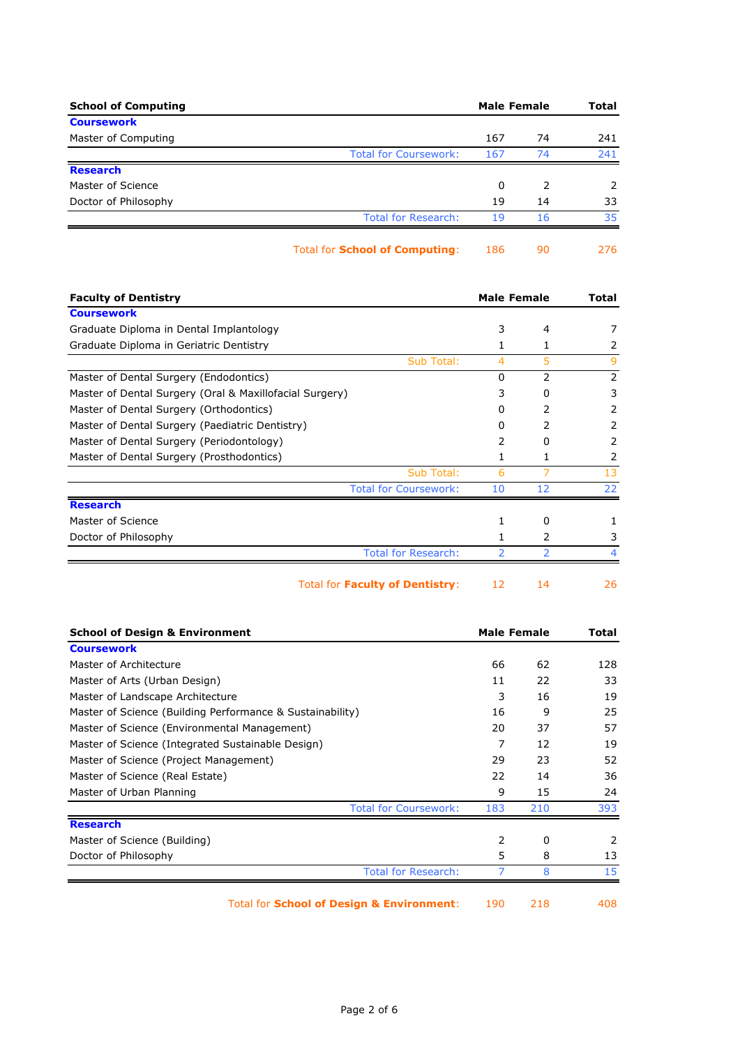| <b>School of Computing</b> |                                       | <b>Male Female</b> |               | <b>Total</b>  |
|----------------------------|---------------------------------------|--------------------|---------------|---------------|
| <b>Coursework</b>          |                                       |                    |               |               |
| Master of Computing        |                                       | 167                | 74            | 241           |
|                            | <b>Total for Coursework:</b>          | 167                | 74            | 241           |
| <b>Research</b>            |                                       |                    |               |               |
| Master of Science          |                                       | 0                  | $\mathcal{P}$ | $\mathcal{L}$ |
| Doctor of Philosophy       |                                       | 19                 | 14            | 33            |
|                            | <b>Total for Research:</b>            | 19                 | 16            | 35            |
|                            | Total for <b>School of Computing:</b> | 186                | 90            | 276.          |

**Faculty of Dentistry Male Female Total Coursework** Graduate Diploma in Dental Implantology 3 4 7 Graduate Diploma in Geriatric Dentistry 1 1 1 2 Sub Total: 4 5 9 Master of Dental Surgery (Endodontics) 0 2 2 2 Master of Dental Surgery (Oral & Maxillofacial Surgery) 3 0 3 3 0 3 Master of Dental Surgery (Orthodontics) and the control of the control of the control of the control of the control of the control of the control of the control of the control of the control of the control of the control o Master of Dental Surgery (Paediatric Dentistry) 0 0 2 2 2 Master of Dental Surgery (Periodontology) and the control of the control of the control of the control of the control of the control of the control of the control of the control of the control of the control of the control Master of Dental Surgery (Prosthodontics) 1 1 2 Sub Total: 6 7 13 Total for Coursework: 10 12 22 **Research** Master of Science 1 0 1 Doctor of Philosophy 1 2 3 Total for Research: 2 2 4

Total for **Faculty of Dentistry**: 12 14 26

|  |  | ۹<br>., |
|--|--|---------|
|  |  |         |

| <b>School of Design &amp; Environment</b>                 | <b>Male Female</b> |     | Total |
|-----------------------------------------------------------|--------------------|-----|-------|
| <b>Coursework</b>                                         |                    |     |       |
| Master of Architecture                                    | 66                 | 62  | 128   |
| Master of Arts (Urban Design)                             | 11                 | 22  | 33    |
| Master of Landscape Architecture                          | 3                  | 16  | 19    |
| Master of Science (Building Performance & Sustainability) | 16                 | 9   | 25    |
| Master of Science (Environmental Management)              | 20                 | 37  | 57    |
| Master of Science (Integrated Sustainable Design)         | 7                  | 12  | 19    |
| Master of Science (Project Management)                    | 29                 | 23  | 52    |
| Master of Science (Real Estate)                           | 22                 | 14  | 36    |
| Master of Urban Planning                                  | 9                  | 15  | 24    |
| <b>Total for Coursework:</b>                              | 183                | 210 | 393   |
| <b>Research</b>                                           |                    |     |       |
| Master of Science (Building)                              | 2                  | 0   | 2     |
| Doctor of Philosophy                                      | 5                  | 8   | 13    |
| <b>Total for Research:</b>                                |                    | 8   | 15    |
|                                                           |                    |     |       |

Total for **School of Design & Environment**: 190 218 408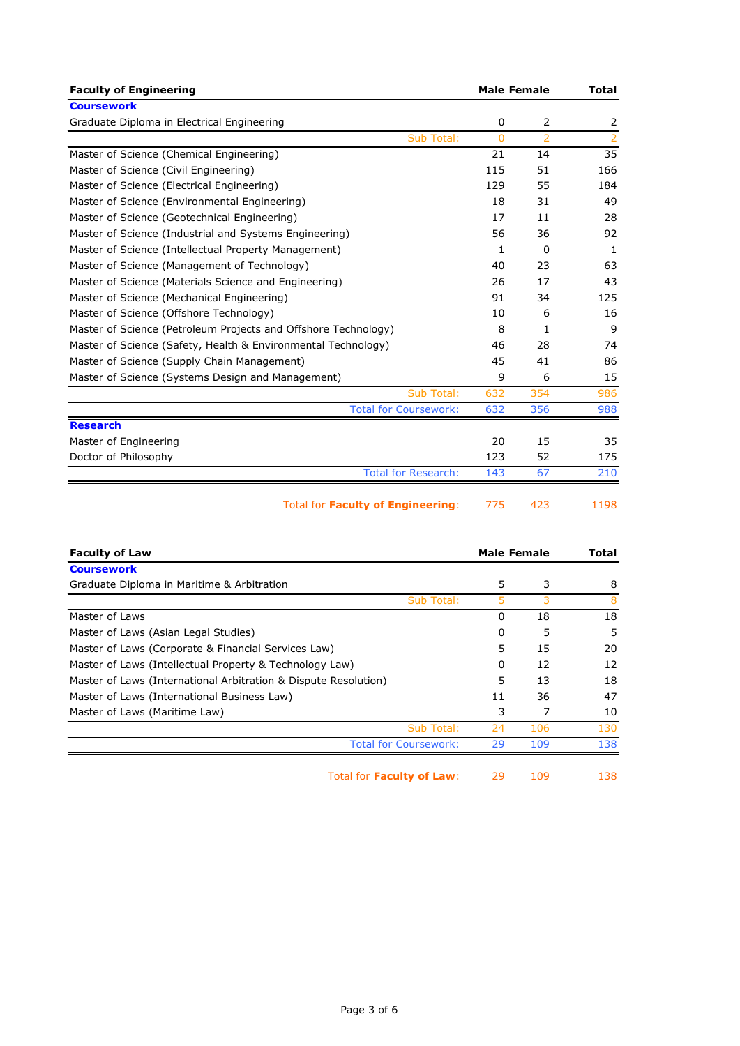| <b>Faculty of Engineering</b>                                  |            | <b>Male Female</b> |          | <b>Total</b>                |
|----------------------------------------------------------------|------------|--------------------|----------|-----------------------------|
| <b>Coursework</b>                                              |            |                    |          |                             |
| Graduate Diploma in Electrical Engineering                     |            | 0                  | 2        | 2                           |
|                                                                | Sub Total: | $\mathbf{0}$       | 2        | $\overline{2}$              |
| Master of Science (Chemical Engineering)                       |            | 21                 | 14       | 35                          |
| Master of Science (Civil Engineering)                          |            | 115                | 51       | 166                         |
| Master of Science (Electrical Engineering)                     |            | 129                | 55       | 184                         |
| Master of Science (Environmental Engineering)                  |            | 18                 | 31       | 49                          |
| Master of Science (Geotechnical Engineering)                   |            | 17                 | 11       | 28                          |
| Master of Science (Industrial and Systems Engineering)         |            | 56                 | 36       | 92                          |
| Master of Science (Intellectual Property Management)           |            | 1                  | $\Omega$ | 1                           |
| Master of Science (Management of Technology)                   |            | 40                 | 23       | 63                          |
| Master of Science (Materials Science and Engineering)          |            | 26                 | 17       | 43                          |
| Master of Science (Mechanical Engineering)                     |            | 91                 | 34       | 125                         |
| Master of Science (Offshore Technology)                        |            | 10                 | 6        | 16                          |
| Master of Science (Petroleum Projects and Offshore Technology) |            | 8                  | 1        | 9                           |
| Master of Science (Safety, Health & Environmental Technology)  |            | 46                 | 28       | 74                          |
| Master of Science (Supply Chain Management)                    |            | 45                 | 41       | 86                          |
| Master of Science (Systems Design and Management)              |            | 9                  | 6        | 15                          |
|                                                                | Sub Total: | 632                | 354      | 986                         |
| <b>Total for Coursework:</b>                                   |            | 632                | 356      | 988                         |
| <b>Research</b>                                                |            |                    |          |                             |
| Master of Engineering                                          |            | 20                 | 15       | 35                          |
| Doctor of Philosophy                                           |            | 123                | 52       | 175                         |
| <b>Total for Research:</b>                                     |            | 143                | 67       | 210                         |
|                                                                |            | ,,,                |          | $\rightarrow$ $\sim$ $\sim$ |

Total for **Faculty of Engineering**: 775 423 1198

| <b>Faculty of Law</b>                                           |            |    | <b>Male Female</b> |     |
|-----------------------------------------------------------------|------------|----|--------------------|-----|
| <b>Coursework</b>                                               |            |    |                    |     |
| Graduate Diploma in Maritime & Arbitration                      |            | 5  | 3                  | 8   |
|                                                                 | Sub Total: | 5  | 3                  | 8   |
| Master of Laws                                                  |            | 0  | 18                 | 18  |
| Master of Laws (Asian Legal Studies)                            |            | 0  | 5                  | 5   |
| Master of Laws (Corporate & Financial Services Law)             |            | 5  | 15                 | 20  |
| Master of Laws (Intellectual Property & Technology Law)         |            | 0  | 12                 | 12  |
| Master of Laws (International Arbitration & Dispute Resolution) |            | 5  | 13                 | 18  |
| Master of Laws (International Business Law)                     |            | 11 | 36                 | 47  |
| Master of Laws (Maritime Law)                                   |            | 3  | 7                  | 10  |
|                                                                 | Sub Total: | 24 | 106                | 130 |
| <b>Total for Coursework:</b>                                    |            | 29 | 109                | 138 |
| Total for Faculty of Law:                                       |            | 29 | 109                | 138 |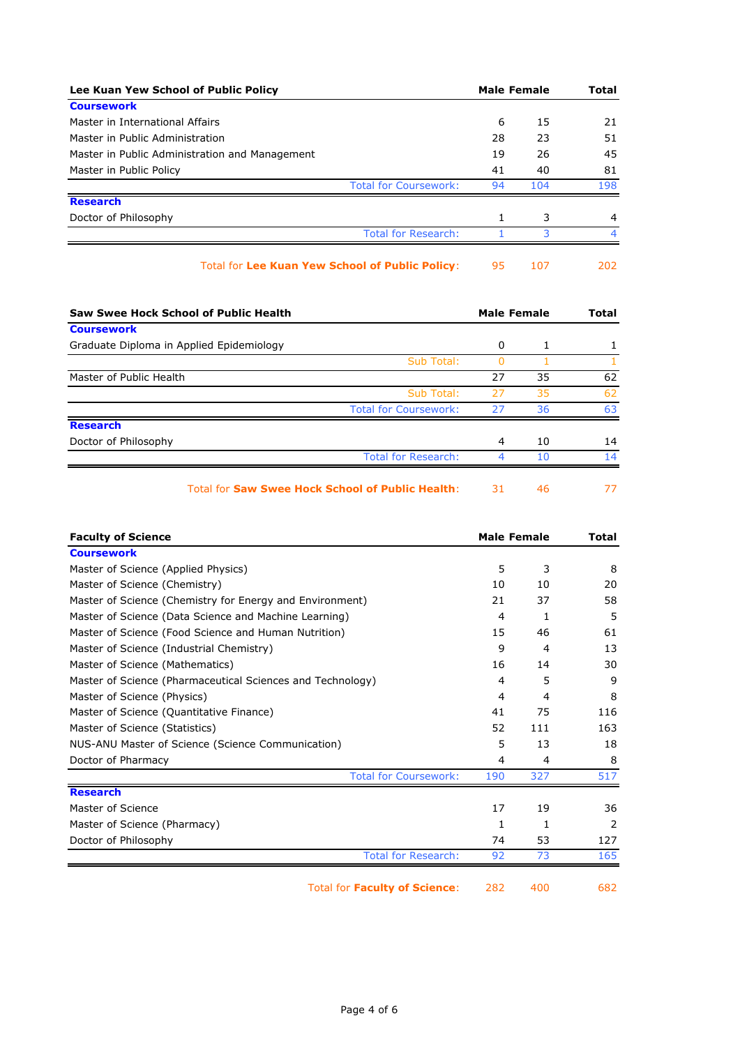| Lee Kuan Yew School of Public Policy           |                              | Male Female |     | Total |  |
|------------------------------------------------|------------------------------|-------------|-----|-------|--|
| <b>Coursework</b>                              |                              |             |     |       |  |
| Master in International Affairs                |                              | 6           | 15  | 21    |  |
| Master in Public Administration                |                              | 28          | 23  | 51    |  |
| Master in Public Administration and Management |                              | 19          | 26  | 45    |  |
| Master in Public Policy                        |                              | 41          | 40  | 81    |  |
|                                                | <b>Total for Coursework:</b> | 94          | 104 | 198   |  |
| <b>Research</b>                                |                              |             |     |       |  |
| Doctor of Philosophy                           |                              |             | 3   | 4     |  |
|                                                | <b>Total for Research:</b>   |             | 3   |       |  |
|                                                |                              |             |     |       |  |

| Total for Lee Kuan Yew School of Public Policy: |  |  | 202 |
|-------------------------------------------------|--|--|-----|
|-------------------------------------------------|--|--|-----|

| Saw Swee Hock School of Public Health                   | <b>Male Female</b> |    | Total |
|---------------------------------------------------------|--------------------|----|-------|
| <b>Coursework</b>                                       |                    |    |       |
| Graduate Diploma in Applied Epidemiology                | 0                  |    |       |
| Sub Total:                                              |                    |    |       |
| Master of Public Health                                 | 27                 | 35 | 62    |
| Sub Total:                                              | 27                 | 35 | 62    |
| <b>Total for Coursework:</b>                            | 27                 | 36 | 63    |
| <b>Research</b>                                         |                    |    |       |
| Doctor of Philosophy                                    | 4                  | 10 | 14    |
| <b>Total for Research:</b>                              | ⊿                  | 10 | 14    |
| <b>Total for Saw Swee Hock School of Public Health:</b> | 31                 | 46 | 77    |

| <b>Faculty of Science</b>                                  | <b>Male Female</b> |     | Total |
|------------------------------------------------------------|--------------------|-----|-------|
| <b>Coursework</b>                                          |                    |     |       |
| Master of Science (Applied Physics)                        | 5                  | 3   | 8     |
| Master of Science (Chemistry)                              | 10                 | 10  | 20    |
| Master of Science (Chemistry for Energy and Environment)   | 21                 | 37  | 58    |
| Master of Science (Data Science and Machine Learning)      | 4                  | 1   | 5     |
| Master of Science (Food Science and Human Nutrition)       | 15                 | 46  | 61    |
| Master of Science (Industrial Chemistry)                   | 9                  | 4   | 13    |
| Master of Science (Mathematics)                            | 16                 | 14  | 30    |
| Master of Science (Pharmaceutical Sciences and Technology) | 4                  | 5   | 9     |
| Master of Science (Physics)                                | 4                  | 4   | 8     |
| Master of Science (Quantitative Finance)                   | 41                 | 75  | 116   |
| Master of Science (Statistics)                             | 52                 | 111 | 163   |
| NUS-ANU Master of Science (Science Communication)          | 5                  | 13  | 18    |
| Doctor of Pharmacy                                         | 4                  | 4   | 8     |
| <b>Total for Coursework:</b>                               | 190                | 327 | 517   |
| <b>Research</b>                                            |                    |     |       |
| Master of Science                                          | 17                 | 19  | 36    |
| Master of Science (Pharmacy)                               | 1                  | 1   | 2     |
| Doctor of Philosophy                                       | 74                 | 53  | 127   |
| <b>Total for Research:</b>                                 | 92                 | 73  | 165   |
| <b>Total for Faculty of Science:</b>                       | 282                | 400 | 682   |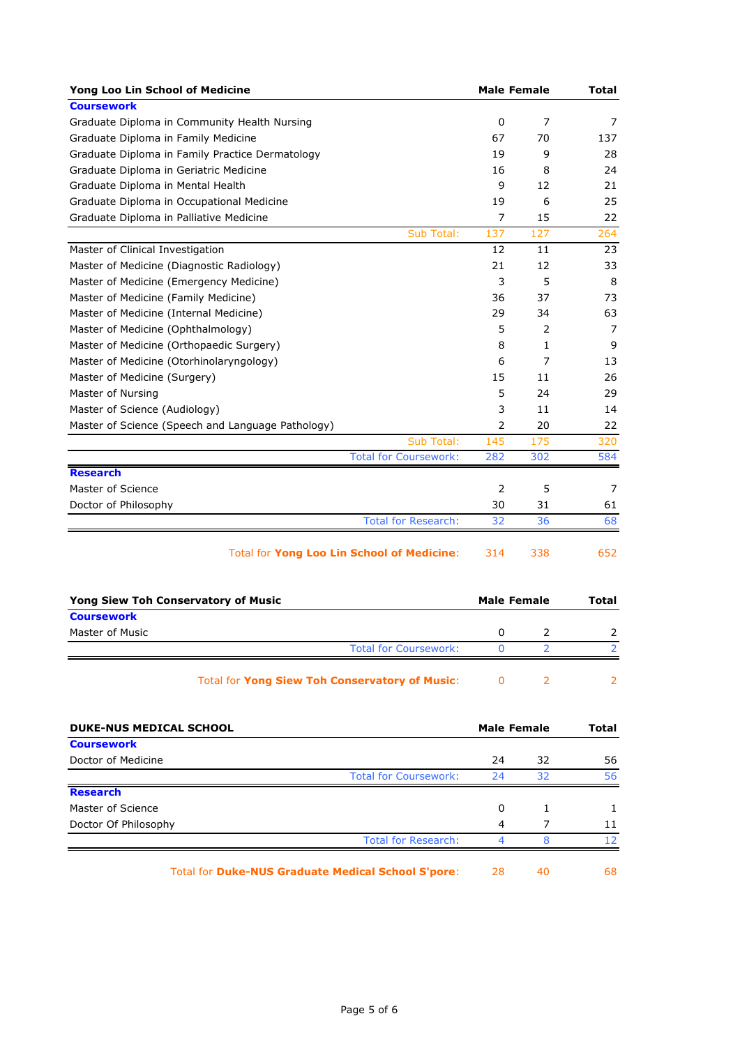| Yong Loo Lin School of Medicine                       |     | <b>Male Female</b> | Total |
|-------------------------------------------------------|-----|--------------------|-------|
| <b>Coursework</b>                                     |     |                    |       |
| Graduate Diploma in Community Health Nursing          | 0   | 7                  | 7     |
| Graduate Diploma in Family Medicine                   | 67  | 70                 | 137   |
| Graduate Diploma in Family Practice Dermatology       | 19  | 9                  | 28    |
| Graduate Diploma in Geriatric Medicine                | 16  | 8                  | 24    |
| Graduate Diploma in Mental Health                     | 9   | 12                 | 21    |
| Graduate Diploma in Occupational Medicine             | 19  | 6                  | 25    |
| Graduate Diploma in Palliative Medicine               | 7   | 15                 | 22    |
| Sub Total:                                            | 137 | 127                | 264   |
| Master of Clinical Investigation                      | 12  | 11                 | 23    |
| Master of Medicine (Diagnostic Radiology)             | 21  | 12                 | 33    |
| Master of Medicine (Emergency Medicine)               | 3   | 5                  | 8     |
| Master of Medicine (Family Medicine)                  | 36  | 37                 | 73    |
| Master of Medicine (Internal Medicine)                | 29  | 34                 | 63    |
| Master of Medicine (Ophthalmology)                    | 5   | 2                  | 7     |
| Master of Medicine (Orthopaedic Surgery)              | 8   | $\mathbf{1}$       | 9     |
| Master of Medicine (Otorhinolaryngology)              | 6   | 7                  | 13    |
| Master of Medicine (Surgery)                          | 15  | 11                 | 26    |
| Master of Nursing                                     | 5   | 24                 | 29    |
| Master of Science (Audiology)                         | 3   | 11                 | 14    |
| Master of Science (Speech and Language Pathology)     | 2   | 20                 | 22    |
| Sub Total:                                            | 145 | 175                | 320   |
| <b>Total for Coursework:</b>                          | 282 | 302                | 584   |
| <b>Research</b>                                       |     |                    |       |
| Master of Science                                     | 2   | 5                  | 7     |
| Doctor of Philosophy                                  | 30  | 31                 | 61    |
| <b>Total for Research:</b>                            | 32  | 36                 | 68    |
| <b>Total for Yong Loo Lin School of Medicine:</b>     | 314 | 338                | 652   |
| <b>Yong Siew Toh Conservatory of Music</b>            |     | <b>Male Female</b> | Total |
| <b>Coursework</b>                                     |     |                    |       |
| Master of Music                                       | 0   | 2                  | 2     |
| <b>Total for Coursework:</b>                          | 0   | 2                  | 2.    |
| <b>Total for Yong Siew Toh Conservatory of Music:</b> | 0   | 2                  | 2     |
| <b>DUKE-NUS MEDICAL SCHOOL</b>                        |     | <b>Male Female</b> | Total |
| <b>Coursework</b>                                     |     |                    |       |
| Doctor of Medicine                                    | 24  | 32                 | 56    |
| <b>Total for Coursework:</b>                          | 24  | 32                 | 56    |
| <b>Research</b>                                       |     |                    |       |
| Master of Science                                     | 0   | 1                  | 1     |
| Doctor Of Philosophy                                  | 4   | 7                  | 11    |
| <b>Total for Research:</b>                            | 4   | 8                  | 12    |
|                                                       |     |                    |       |

Total for **Duke-NUS Graduate Medical School S'pore**: 28 40 68